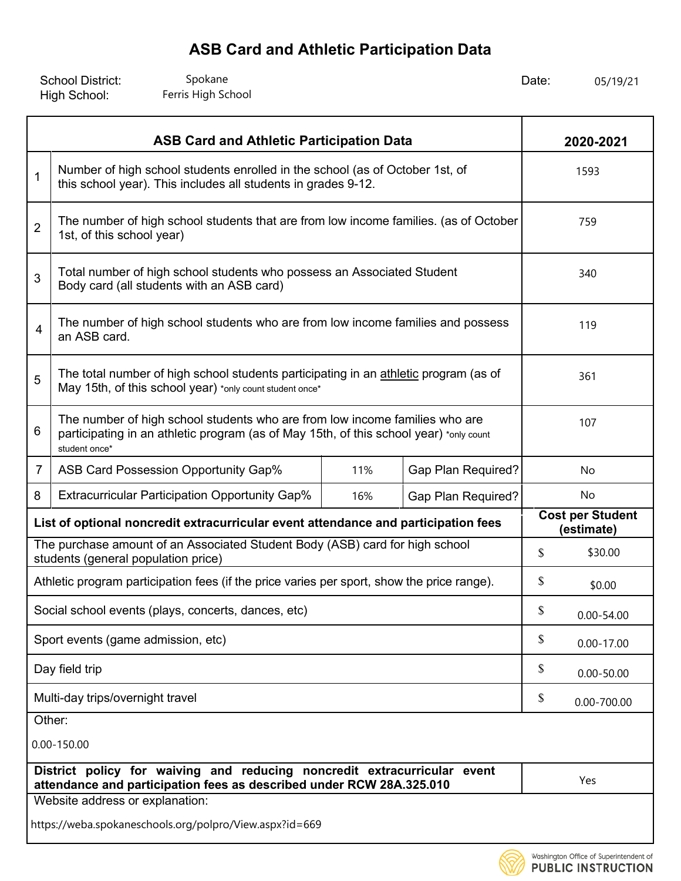| <b>School District:</b> | Spokane            | Date: | 05/19/21 |
|-------------------------|--------------------|-------|----------|
| High School:            | Ferris High School |       |          |

|                                                                                                                                                                                             | <b>ASB Card and Athletic Participation Data</b>                                                                                                  |     |                           |                                       | 2020-2021      |  |
|---------------------------------------------------------------------------------------------------------------------------------------------------------------------------------------------|--------------------------------------------------------------------------------------------------------------------------------------------------|-----|---------------------------|---------------------------------------|----------------|--|
| Number of high school students enrolled in the school (as of October 1st, of<br>$\mathbf{1}$<br>this school year). This includes all students in grades 9-12.                               |                                                                                                                                                  |     |                           |                                       | 1593           |  |
| $\overline{2}$                                                                                                                                                                              | The number of high school students that are from low income families. (as of October<br>1st, of this school year)                                |     |                           |                                       | 759            |  |
| 3                                                                                                                                                                                           | Total number of high school students who possess an Associated Student<br>Body card (all students with an ASB card)                              |     |                           |                                       | 340            |  |
| $\overline{4}$                                                                                                                                                                              | The number of high school students who are from low income families and possess<br>an ASB card.                                                  |     |                           |                                       | 119            |  |
| The total number of high school students participating in an athletic program (as of<br>5<br>May 15th, of this school year) *only count student once*                                       |                                                                                                                                                  |     |                           |                                       | 361            |  |
| The number of high school students who are from low income families who are<br>6<br>participating in an athletic program (as of May 15th, of this school year) *only count<br>student once* |                                                                                                                                                  |     |                           |                                       | 107            |  |
| $\overline{7}$                                                                                                                                                                              | ASB Card Possession Opportunity Gap%                                                                                                             | 11% | <b>Gap Plan Required?</b> | No                                    |                |  |
| 8                                                                                                                                                                                           | <b>Extracurricular Participation Opportunity Gap%</b>                                                                                            | 16% | <b>Gap Plan Required?</b> |                                       | No             |  |
| List of optional noncredit extracurricular event attendance and participation fees                                                                                                          |                                                                                                                                                  |     |                           | <b>Cost per Student</b><br>(estimate) |                |  |
|                                                                                                                                                                                             | The purchase amount of an Associated Student Body (ASB) card for high school<br>students (general population price)                              |     |                           | $\mathcal{S}$                         | \$30.00        |  |
|                                                                                                                                                                                             | Athletic program participation fees (if the price varies per sport, show the price range).                                                       |     |                           | \$                                    | \$0.00         |  |
|                                                                                                                                                                                             | Social school events (plays, concerts, dances, etc)                                                                                              |     |                           | \$                                    | $0.00 - 54.00$ |  |
|                                                                                                                                                                                             | Sport events (game admission, etc)                                                                                                               |     |                           | \$                                    | $0.00 - 17.00$ |  |
|                                                                                                                                                                                             | Day field trip                                                                                                                                   |     |                           | \$                                    | $0.00 - 50.00$ |  |
| Multi-day trips/overnight travel                                                                                                                                                            |                                                                                                                                                  |     |                           | \$                                    | 0.00-700.00    |  |
| Other:<br>$0.00 - 150.00$                                                                                                                                                                   |                                                                                                                                                  |     |                           |                                       |                |  |
|                                                                                                                                                                                             | District policy for waiving and reducing noncredit extracurricular event<br>attendance and participation fees as described under RCW 28A.325.010 |     |                           |                                       | Yes            |  |
|                                                                                                                                                                                             | Website address or explanation:                                                                                                                  |     |                           |                                       |                |  |
| https://weba.spokaneschools.org/polpro/View.aspx?id=669                                                                                                                                     |                                                                                                                                                  |     |                           |                                       |                |  |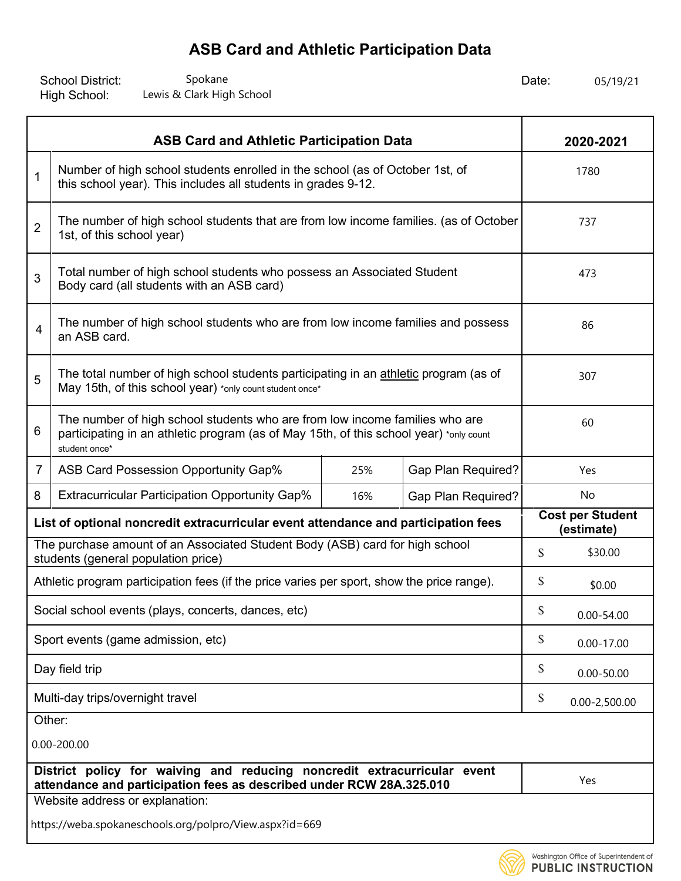School District: Spokane Spokane Spokane and Date: Date: High School: Spokane Spokane Spokane Spokane Spokane Spokane Spokane Bate: 05/19/21<br>
Lewis & Clark High School Spoke Spoke Spoke Spoke Spoke Spoke Spoke Spoke Spoke Spoke Spoke Spoke Spoke Spoke

| <b>ASB Card and Athletic Participation Data</b>                                                                                                                                             |                                                                                                                                                  |     |                           |                                       | 2020-2021         |
|---------------------------------------------------------------------------------------------------------------------------------------------------------------------------------------------|--------------------------------------------------------------------------------------------------------------------------------------------------|-----|---------------------------|---------------------------------------|-------------------|
| $\mathbf 1$                                                                                                                                                                                 | Number of high school students enrolled in the school (as of October 1st, of<br>this school year). This includes all students in grades 9-12.    |     |                           |                                       | 1780              |
| $\overline{2}$                                                                                                                                                                              | The number of high school students that are from low income families. (as of October<br>1st, of this school year)                                |     |                           |                                       | 737               |
| 3                                                                                                                                                                                           | Total number of high school students who possess an Associated Student<br>Body card (all students with an ASB card)                              |     |                           |                                       | 473               |
| 4                                                                                                                                                                                           | The number of high school students who are from low income families and possess<br>an ASB card.                                                  |     |                           |                                       | 86                |
| 5                                                                                                                                                                                           | The total number of high school students participating in an athletic program (as of<br>May 15th, of this school year) *only count student once* |     |                           |                                       | 307               |
| The number of high school students who are from low income families who are<br>6<br>participating in an athletic program (as of May 15th, of this school year) *only count<br>student once* |                                                                                                                                                  |     |                           |                                       | 60                |
| $\overline{7}$                                                                                                                                                                              | ASB Card Possession Opportunity Gap%                                                                                                             | 25% | <b>Gap Plan Required?</b> |                                       | Yes               |
| 8                                                                                                                                                                                           | <b>Extracurricular Participation Opportunity Gap%</b>                                                                                            | 16% | <b>Gap Plan Required?</b> |                                       | No                |
| List of optional noncredit extracurricular event attendance and participation fees                                                                                                          |                                                                                                                                                  |     |                           | <b>Cost per Student</b><br>(estimate) |                   |
| The purchase amount of an Associated Student Body (ASB) card for high school<br>students (general population price)                                                                         |                                                                                                                                                  |     | \$                        | \$30.00                               |                   |
|                                                                                                                                                                                             | Athletic program participation fees (if the price varies per sport, show the price range).                                                       |     |                           | \$                                    | \$0.00            |
|                                                                                                                                                                                             | Social school events (plays, concerts, dances, etc)                                                                                              |     |                           | \$                                    | $0.00 - 54.00$    |
|                                                                                                                                                                                             | Sport events (game admission, etc)                                                                                                               |     |                           | \$                                    | $0.00 - 17.00$    |
|                                                                                                                                                                                             | Day field trip                                                                                                                                   |     |                           | \$                                    | $0.00 - 50.00$    |
| Multi-day trips/overnight travel                                                                                                                                                            |                                                                                                                                                  |     |                           | \$                                    | $0.00 - 2,500.00$ |
|                                                                                                                                                                                             | Other:                                                                                                                                           |     |                           |                                       |                   |
| 0.00-200.00                                                                                                                                                                                 |                                                                                                                                                  |     |                           |                                       |                   |
|                                                                                                                                                                                             | District policy for waiving and reducing noncredit extracurricular event<br>attendance and participation fees as described under RCW 28A.325.010 |     |                           |                                       | Yes               |
|                                                                                                                                                                                             | Website address or explanation:                                                                                                                  |     |                           |                                       |                   |
|                                                                                                                                                                                             | https://weba.spokaneschools.org/polpro/View.aspx?id=669                                                                                          |     |                           |                                       |                   |

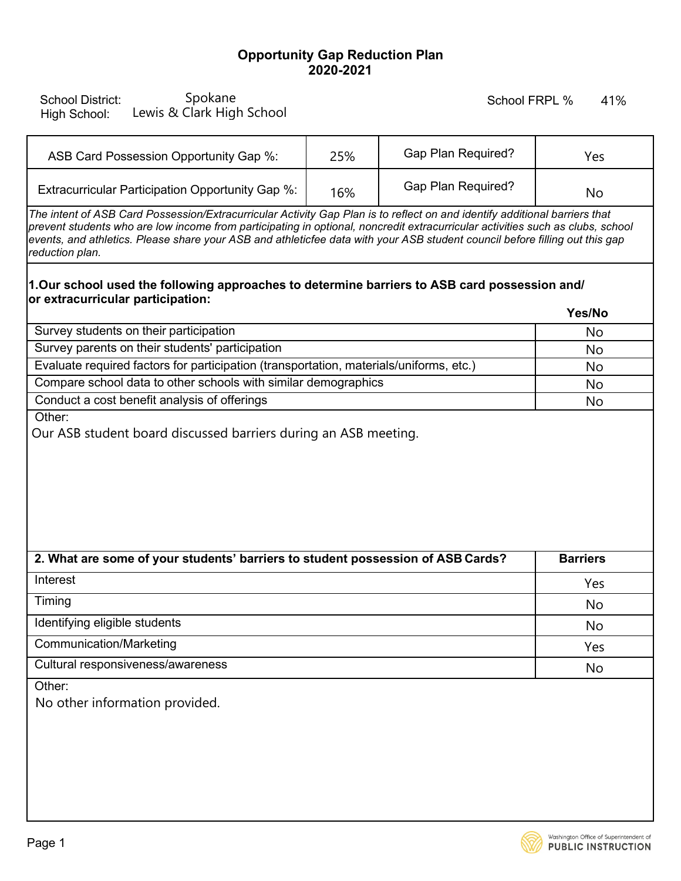### **Opportunity Gap Reduction Plan 2020-2021**

| <b>School District:</b><br>High School: | Spokane<br>Lewis & Clark High School |  |
|-----------------------------------------|--------------------------------------|--|
|-----------------------------------------|--------------------------------------|--|

#### School FRPL %

| ASB Card Possession Opportunity Gap %:           | 25% | <b>Gap Plan Required?</b> | Yes |
|--------------------------------------------------|-----|---------------------------|-----|
| Extracurricular Participation Opportunity Gap %: | 16% | <b>Gap Plan Required?</b> | No  |

#### **1.Our school used the following approaches to determine barriers to ASB card possession and/ or extracurricular participation: Yes/No**

|                                                                                        | 165/190   |
|----------------------------------------------------------------------------------------|-----------|
| Survey students on their participation                                                 | No        |
| Survey parents on their students' participation                                        | No        |
| Evaluate required factors for participation (transportation, materials/uniforms, etc.) | No        |
| Compare school data to other schools with similar demographics                         | <b>No</b> |
| Conduct a cost benefit analysis of offerings                                           | No        |

| Spokane<br><b>School District:</b><br>Lewis & Clark High School<br>High School:                                                                                                                                                                                                                                                                                                                                |     | School FRPL %             | 41%             |
|----------------------------------------------------------------------------------------------------------------------------------------------------------------------------------------------------------------------------------------------------------------------------------------------------------------------------------------------------------------------------------------------------------------|-----|---------------------------|-----------------|
| ASB Card Possession Opportunity Gap %:                                                                                                                                                                                                                                                                                                                                                                         | 25% | Gap Plan Required?        | Yes             |
| Extracurricular Participation Opportunity Gap %:                                                                                                                                                                                                                                                                                                                                                               | 16% | <b>Gap Plan Required?</b> | No              |
| The intent of ASB Card Possession/Extracurricular Activity Gap Plan is to reflect on and identify additional barriers that<br>prevent students who are low income from participating in optional, noncredit extracurricular activities such as clubs, school<br>events, and athletics. Please share your ASB and athleticfee data with your ASB student council before filling out this gap<br>reduction plan. |     |                           |                 |
| 1.Our school used the following approaches to determine barriers to ASB card possession and/<br>or extracurricular participation:                                                                                                                                                                                                                                                                              |     |                           | Yes/No          |
| Survey students on their participation                                                                                                                                                                                                                                                                                                                                                                         |     |                           | No              |
| Survey parents on their students' participation                                                                                                                                                                                                                                                                                                                                                                |     |                           | No              |
| Evaluate required factors for participation (transportation, materials/uniforms, etc.)                                                                                                                                                                                                                                                                                                                         |     |                           | No              |
| Compare school data to other schools with similar demographics                                                                                                                                                                                                                                                                                                                                                 |     |                           | No              |
| Conduct a cost benefit analysis of offerings                                                                                                                                                                                                                                                                                                                                                                   |     |                           | No              |
| Our ASB student board discussed barriers during an ASB meeting.                                                                                                                                                                                                                                                                                                                                                |     |                           |                 |
| 2. What are some of your students' barriers to student possession of ASB Cards?                                                                                                                                                                                                                                                                                                                                |     |                           | <b>Barriers</b> |
| Interest                                                                                                                                                                                                                                                                                                                                                                                                       |     |                           | Yes             |
| Timing                                                                                                                                                                                                                                                                                                                                                                                                         |     |                           | No              |
| Identifying eligible students                                                                                                                                                                                                                                                                                                                                                                                  |     |                           | No              |
| <b>Communication/Marketing</b>                                                                                                                                                                                                                                                                                                                                                                                 |     |                           | Yes             |
| Cultural responsiveness/awareness                                                                                                                                                                                                                                                                                                                                                                              |     |                           | No              |
|                                                                                                                                                                                                                                                                                                                                                                                                                |     |                           |                 |

Other:

No other information provided.

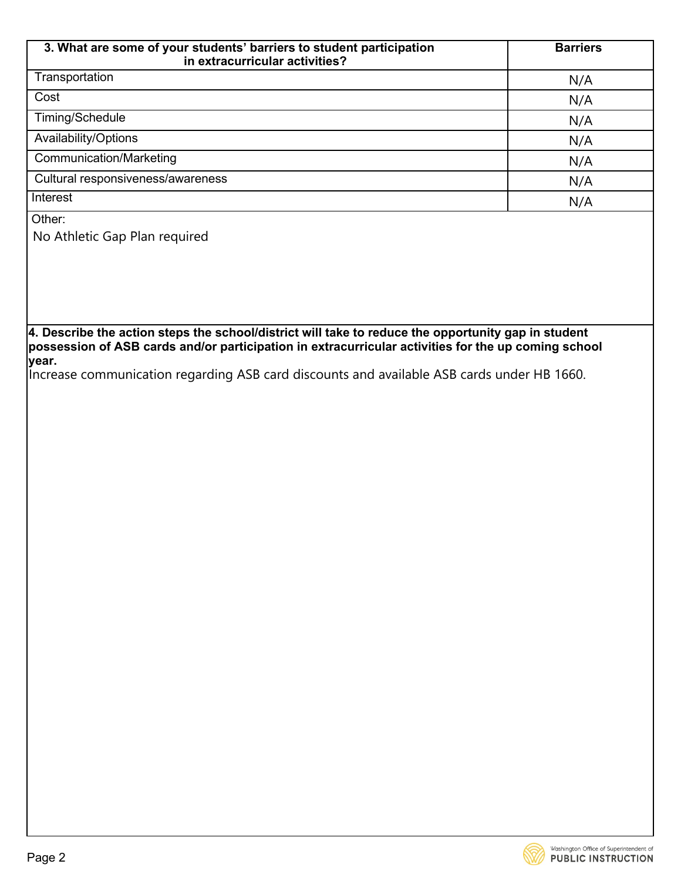| 3. What are some of your students' barriers to student participation<br>in extracurricular activities? | <b>Barriers</b> |
|--------------------------------------------------------------------------------------------------------|-----------------|
| Transportation                                                                                         | N/A             |
| Cost                                                                                                   | N/A             |
| Timing/Schedule                                                                                        | N/A             |
| Availability/Options                                                                                   | N/A             |
| <b>Communication/Marketing</b>                                                                         | N/A             |
| Cultural responsiveness/awareness                                                                      | N/A             |
| Interest                                                                                               | N/A             |

Other:

No Athletic Gap Plan required

**4. Describe the action steps the school/district will take to reduce the opportunity gap in student possession of ASB cards and/or participation in extracurricular activities for the up coming school year.**

Increase communication regarding ASB card discounts and available ASB cards under HB 1660.

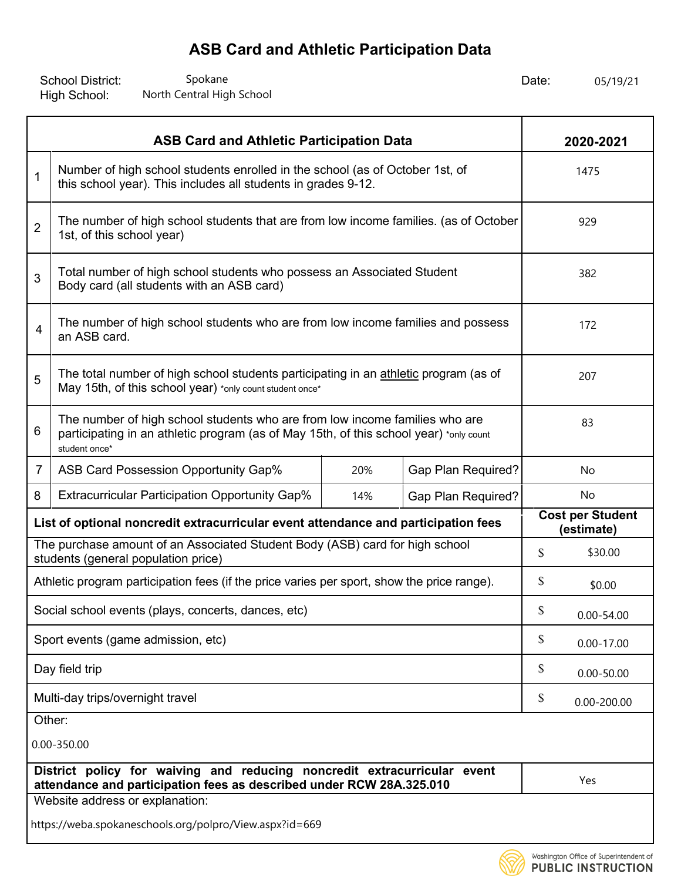School District: Spokane Spokane Spokane and Date: Date: High School: Spokane Spokane Spokane Spokane Spokane Spokane Spokane Bate: 05/19/21 North Central High School 25, 2008. 25 and 25/19/21 Spokes Spokes Spokes Spokes Spokes Spokes Spokes Spokes Spokes Spokes Spokes Spokes Spokes Spokes Spokes Sp

| <b>ASB Card and Athletic Participation Data</b>                                                                                                  |                                                                                                                                                                                        |     |                           |                                       | 2020-2021       |  |
|--------------------------------------------------------------------------------------------------------------------------------------------------|----------------------------------------------------------------------------------------------------------------------------------------------------------------------------------------|-----|---------------------------|---------------------------------------|-----------------|--|
| $\mathbf 1$                                                                                                                                      | Number of high school students enrolled in the school (as of October 1st, of<br>this school year). This includes all students in grades 9-12.                                          |     |                           |                                       | 1475            |  |
| $\overline{2}$                                                                                                                                   | The number of high school students that are from low income families. (as of October<br>1st, of this school year)                                                                      |     |                           |                                       | 929             |  |
| 3                                                                                                                                                | Total number of high school students who possess an Associated Student<br>Body card (all students with an ASB card)                                                                    |     |                           |                                       | 382             |  |
| 4                                                                                                                                                | The number of high school students who are from low income families and possess<br>an ASB card.                                                                                        |     |                           |                                       | 172             |  |
| 5                                                                                                                                                | The total number of high school students participating in an athletic program (as of<br>May 15th, of this school year) *only count student once*                                       |     |                           |                                       | 207             |  |
| 6                                                                                                                                                | The number of high school students who are from low income families who are<br>participating in an athletic program (as of May 15th, of this school year) *only count<br>student once* |     |                           |                                       | 83              |  |
| 7                                                                                                                                                | ASB Card Possession Opportunity Gap%                                                                                                                                                   | 20% | <b>Gap Plan Required?</b> | No                                    |                 |  |
| 8                                                                                                                                                | <b>Extracurricular Participation Opportunity Gap%</b>                                                                                                                                  | 14% | <b>Gap Plan Required?</b> |                                       | No              |  |
| List of optional noncredit extracurricular event attendance and participation fees                                                               |                                                                                                                                                                                        |     |                           | <b>Cost per Student</b><br>(estimate) |                 |  |
| The purchase amount of an Associated Student Body (ASB) card for high school<br>students (general population price)                              |                                                                                                                                                                                        |     |                           | \$                                    | \$30.00         |  |
|                                                                                                                                                  | Athletic program participation fees (if the price varies per sport, show the price range).                                                                                             |     |                           | \$                                    | \$0.00          |  |
|                                                                                                                                                  | Social school events (plays, concerts, dances, etc)                                                                                                                                    |     |                           | \$                                    | $0.00 - 54.00$  |  |
|                                                                                                                                                  | Sport events (game admission, etc)                                                                                                                                                     |     |                           | \$                                    | $0.00 - 17.00$  |  |
|                                                                                                                                                  | Day field trip                                                                                                                                                                         |     |                           | \$                                    | $0.00 - 50.00$  |  |
| Multi-day trips/overnight travel                                                                                                                 |                                                                                                                                                                                        |     |                           | \$                                    | $0.00 - 200.00$ |  |
|                                                                                                                                                  | Other:                                                                                                                                                                                 |     |                           |                                       |                 |  |
|                                                                                                                                                  | 0.00-350.00                                                                                                                                                                            |     |                           |                                       |                 |  |
| District policy for waiving and reducing noncredit extracurricular event<br>attendance and participation fees as described under RCW 28A.325.010 |                                                                                                                                                                                        |     |                           |                                       | Yes             |  |
|                                                                                                                                                  | Website address or explanation:                                                                                                                                                        |     |                           |                                       |                 |  |
|                                                                                                                                                  | https://weba.spokaneschools.org/polpro/View.aspx?id=669                                                                                                                                |     |                           |                                       |                 |  |

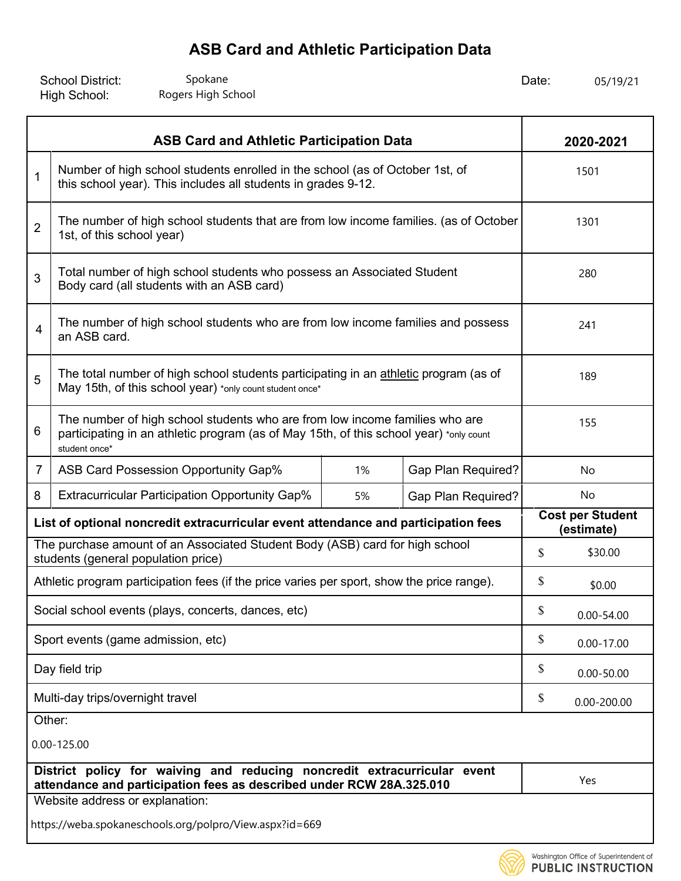| <b>School District:</b> | Spokane            | Date: | 05/19/21 |
|-------------------------|--------------------|-------|----------|
| High School:            | Rogers High School |       |          |

| <b>ASB Card and Athletic Participation Data</b>                                                                                                                                             |                                                                                                                                                  |    |                    |                                       | 2020-2021       |  |
|---------------------------------------------------------------------------------------------------------------------------------------------------------------------------------------------|--------------------------------------------------------------------------------------------------------------------------------------------------|----|--------------------|---------------------------------------|-----------------|--|
| 1                                                                                                                                                                                           | Number of high school students enrolled in the school (as of October 1st, of<br>this school year). This includes all students in grades 9-12.    |    |                    |                                       | 1501            |  |
| $\overline{2}$                                                                                                                                                                              | The number of high school students that are from low income families. (as of October<br>1st, of this school year)                                |    |                    |                                       | 1301            |  |
| 3                                                                                                                                                                                           | Total number of high school students who possess an Associated Student<br>Body card (all students with an ASB card)                              |    |                    |                                       | 280             |  |
| 4                                                                                                                                                                                           | The number of high school students who are from low income families and possess<br>an ASB card.                                                  |    |                    |                                       | 241             |  |
| 5                                                                                                                                                                                           | The total number of high school students participating in an athletic program (as of<br>May 15th, of this school year) *only count student once* |    |                    |                                       | 189             |  |
| The number of high school students who are from low income families who are<br>6<br>participating in an athletic program (as of May 15th, of this school year) *only count<br>student once* |                                                                                                                                                  |    |                    |                                       | 155             |  |
| $\overline{7}$                                                                                                                                                                              | ASB Card Possession Opportunity Gap%                                                                                                             | 1% | Gap Plan Required? |                                       | No              |  |
| 8                                                                                                                                                                                           | <b>Extracurricular Participation Opportunity Gap%</b>                                                                                            | 5% | Gap Plan Required? |                                       | No              |  |
| List of optional noncredit extracurricular event attendance and participation fees                                                                                                          |                                                                                                                                                  |    |                    | <b>Cost per Student</b><br>(estimate) |                 |  |
|                                                                                                                                                                                             | The purchase amount of an Associated Student Body (ASB) card for high school<br>students (general population price)                              |    |                    | \$                                    | \$30.00         |  |
|                                                                                                                                                                                             | Athletic program participation fees (if the price varies per sport, show the price range).                                                       |    |                    | \$                                    | \$0.00          |  |
|                                                                                                                                                                                             | Social school events (plays, concerts, dances, etc)                                                                                              |    |                    | \$                                    | $0.00 - 54.00$  |  |
|                                                                                                                                                                                             | Sport events (game admission, etc)                                                                                                               |    |                    | \$                                    | $0.00 - 17.00$  |  |
|                                                                                                                                                                                             | Day field trip                                                                                                                                   |    |                    | \$                                    | $0.00 - 50.00$  |  |
| Multi-day trips/overnight travel                                                                                                                                                            |                                                                                                                                                  |    |                    | \$                                    | $0.00 - 200.00$ |  |
| Other:                                                                                                                                                                                      |                                                                                                                                                  |    |                    |                                       |                 |  |
| $0.00 - 125.00$                                                                                                                                                                             |                                                                                                                                                  |    |                    |                                       |                 |  |
|                                                                                                                                                                                             | District policy for waiving and reducing noncredit extracurricular event<br>attendance and participation fees as described under RCW 28A.325.010 |    |                    |                                       | Yes             |  |
|                                                                                                                                                                                             | Website address or explanation:                                                                                                                  |    |                    |                                       |                 |  |
|                                                                                                                                                                                             | https://weba.spokaneschools.org/polpro/View.aspx?id=669                                                                                          |    |                    |                                       |                 |  |

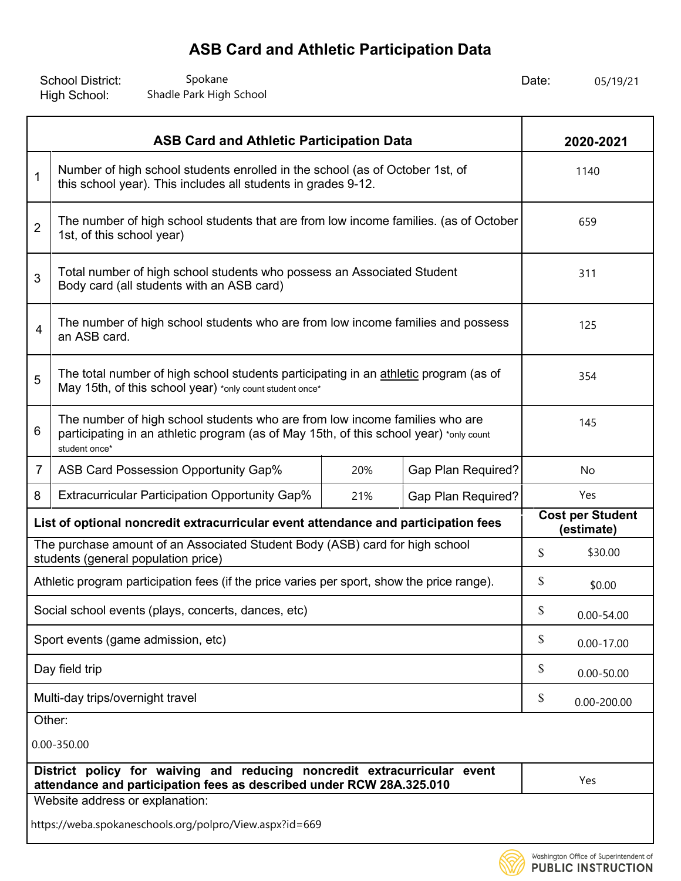School District: Spokane Spokane Spokane and Date: Date: High School: Spokane Spokane Spokane Spokane Spokane Spokane Shadle Park High School 205/19/21

| <b>ASB Card and Athletic Participation Data</b>                                                                     |                                                                                                                                                                                        |     |                           |                                       | 2020-2021       |  |
|---------------------------------------------------------------------------------------------------------------------|----------------------------------------------------------------------------------------------------------------------------------------------------------------------------------------|-----|---------------------------|---------------------------------------|-----------------|--|
| $\mathbf 1$                                                                                                         | Number of high school students enrolled in the school (as of October 1st, of<br>this school year). This includes all students in grades 9-12.                                          |     |                           |                                       | 1140            |  |
| $\overline{2}$                                                                                                      | The number of high school students that are from low income families. (as of October<br>1st, of this school year)                                                                      |     |                           |                                       | 659             |  |
| 3                                                                                                                   | Total number of high school students who possess an Associated Student<br>Body card (all students with an ASB card)                                                                    |     |                           |                                       | 311             |  |
| 4                                                                                                                   | The number of high school students who are from low income families and possess<br>an ASB card.                                                                                        |     |                           |                                       | 125             |  |
| 5                                                                                                                   | The total number of high school students participating in an athletic program (as of<br>May 15th, of this school year) *only count student once*                                       |     |                           |                                       | 354             |  |
| 6                                                                                                                   | The number of high school students who are from low income families who are<br>participating in an athletic program (as of May 15th, of this school year) *only count<br>student once* |     |                           |                                       | 145             |  |
| 7                                                                                                                   | ASB Card Possession Opportunity Gap%                                                                                                                                                   | 20% | <b>Gap Plan Required?</b> | No                                    |                 |  |
| 8                                                                                                                   | <b>Extracurricular Participation Opportunity Gap%</b>                                                                                                                                  | 21% | <b>Gap Plan Required?</b> |                                       | Yes             |  |
| List of optional noncredit extracurricular event attendance and participation fees                                  |                                                                                                                                                                                        |     |                           | <b>Cost per Student</b><br>(estimate) |                 |  |
| The purchase amount of an Associated Student Body (ASB) card for high school<br>students (general population price) |                                                                                                                                                                                        |     |                           | \$                                    | \$30.00         |  |
|                                                                                                                     | Athletic program participation fees (if the price varies per sport, show the price range).                                                                                             |     |                           | \$                                    | \$0.00          |  |
|                                                                                                                     | Social school events (plays, concerts, dances, etc)                                                                                                                                    |     |                           | \$                                    | $0.00 - 54.00$  |  |
|                                                                                                                     | Sport events (game admission, etc)                                                                                                                                                     |     |                           | \$                                    | $0.00 - 17.00$  |  |
|                                                                                                                     | Day field trip                                                                                                                                                                         |     |                           | \$                                    | $0.00 - 50.00$  |  |
| Multi-day trips/overnight travel                                                                                    |                                                                                                                                                                                        |     |                           | \$                                    | $0.00 - 200.00$ |  |
| Other:                                                                                                              |                                                                                                                                                                                        |     |                           |                                       |                 |  |
|                                                                                                                     | 0.00-350.00                                                                                                                                                                            |     |                           |                                       |                 |  |
|                                                                                                                     | District policy for waiving and reducing noncredit extracurricular event<br>attendance and participation fees as described under RCW 28A.325.010                                       |     |                           |                                       | Yes             |  |
|                                                                                                                     | Website address or explanation:                                                                                                                                                        |     |                           |                                       |                 |  |
|                                                                                                                     | https://weba.spokaneschools.org/polpro/View.aspx?id=669                                                                                                                                |     |                           |                                       |                 |  |

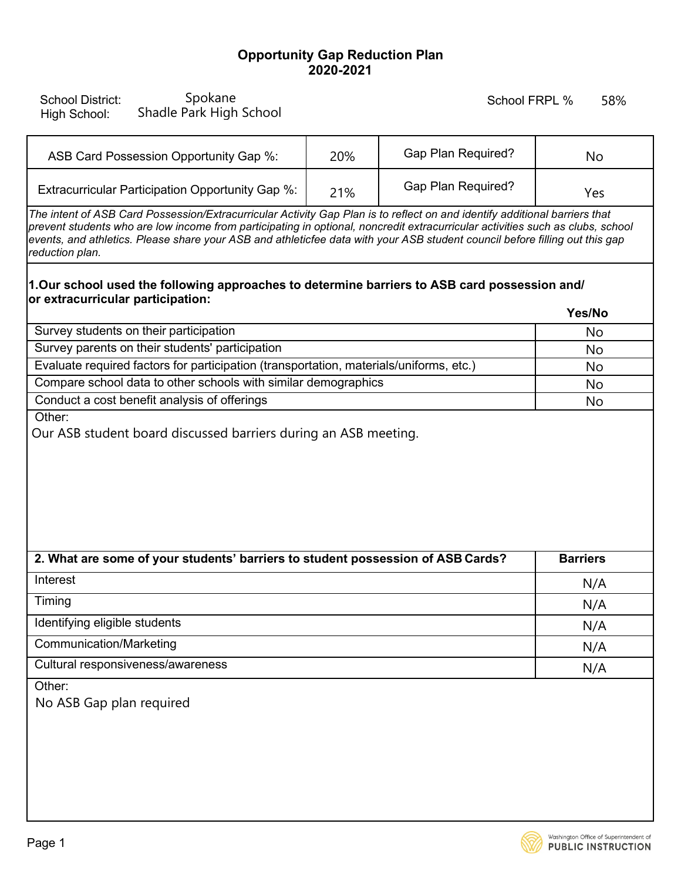### **Opportunity Gap Reduction Plan 2020-2021**

| Spokane<br><b>School District:</b><br>Shadle Park High School<br>High School:                                                                                                                                                                                                                                                                                                                                  |     | School FRPL %             | 58%             |  |
|----------------------------------------------------------------------------------------------------------------------------------------------------------------------------------------------------------------------------------------------------------------------------------------------------------------------------------------------------------------------------------------------------------------|-----|---------------------------|-----------------|--|
| ASB Card Possession Opportunity Gap %:                                                                                                                                                                                                                                                                                                                                                                         | 20% | <b>Gap Plan Required?</b> | No              |  |
| Extracurricular Participation Opportunity Gap %:                                                                                                                                                                                                                                                                                                                                                               | 21% | <b>Gap Plan Required?</b> | Yes             |  |
| The intent of ASB Card Possession/Extracurricular Activity Gap Plan is to reflect on and identify additional barriers that<br>prevent students who are low income from participating in optional, noncredit extracurricular activities such as clubs, school<br>events, and athletics. Please share your ASB and athleticfee data with your ASB student council before filling out this gap<br>reduction plan. |     |                           |                 |  |
| 1.Our school used the following approaches to determine barriers to ASB card possession and/                                                                                                                                                                                                                                                                                                                   |     |                           |                 |  |
| or extracurricular participation:                                                                                                                                                                                                                                                                                                                                                                              |     |                           | Yes/No          |  |
| Survey students on their participation                                                                                                                                                                                                                                                                                                                                                                         |     |                           | No              |  |
| Survey parents on their students' participation                                                                                                                                                                                                                                                                                                                                                                |     |                           | No              |  |
| Evaluate required factors for participation (transportation, materials/uniforms, etc.)                                                                                                                                                                                                                                                                                                                         |     |                           | No              |  |
| Compare school data to other schools with similar demographics                                                                                                                                                                                                                                                                                                                                                 |     |                           | No              |  |
| Conduct a cost benefit analysis of offerings<br>Other:                                                                                                                                                                                                                                                                                                                                                         |     |                           | No              |  |
| Our ASB student board discussed barriers during an ASB meeting.                                                                                                                                                                                                                                                                                                                                                |     |                           |                 |  |
| 2. What are some of your students' barriers to student possession of ASB Cards?                                                                                                                                                                                                                                                                                                                                |     |                           | <b>Barriers</b> |  |
| Interest                                                                                                                                                                                                                                                                                                                                                                                                       |     |                           | N/A             |  |
| Timing                                                                                                                                                                                                                                                                                                                                                                                                         |     |                           | N/A             |  |
| Identifying eligible students                                                                                                                                                                                                                                                                                                                                                                                  |     |                           | N/A             |  |
| <b>Communication/Marketing</b>                                                                                                                                                                                                                                                                                                                                                                                 |     |                           | N/A             |  |
| Cultural responsiveness/awareness                                                                                                                                                                                                                                                                                                                                                                              |     |                           | N/A             |  |
| Other:<br>No ASB Gap plan required                                                                                                                                                                                                                                                                                                                                                                             |     |                           |                 |  |